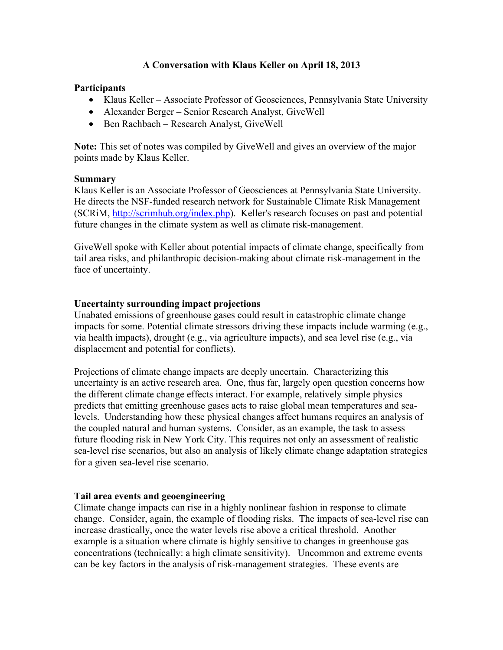# **A Conversation with Klaus Keller on April 18, 2013**

### **Participants**

- Klaus Keller Associate Professor of Geosciences, Pennsylvania State University
- Alexander Berger Senior Research Analyst, GiveWell
- Ben Rachbach Research Analyst, GiveWell

**Note:** This set of notes was compiled by GiveWell and gives an overview of the major points made by Klaus Keller.

### **Summary**

Klaus Keller is an Associate Professor of Geosciences at Pennsylvania State University. He directs the NSF-funded research network for Sustainable Climate Risk Management (SCRiM, http://scrimhub.org/index.php). Keller's research focuses on past and potential future changes in the climate system as well as climate risk-management.

GiveWell spoke with Keller about potential impacts of climate change, specifically from tail area risks, and philanthropic decision-making about climate risk-management in the face of uncertainty.

### **Uncertainty surrounding impact projections**

Unabated emissions of greenhouse gases could result in catastrophic climate change impacts for some. Potential climate stressors driving these impacts include warming (e.g., via health impacts), drought (e.g., via agriculture impacts), and sea level rise (e.g., via displacement and potential for conflicts).

Projections of climate change impacts are deeply uncertain. Characterizing this uncertainty is an active research area. One, thus far, largely open question concerns how the different climate change effects interact. For example, relatively simple physics predicts that emitting greenhouse gases acts to raise global mean temperatures and sealevels. Understanding how these physical changes affect humans requires an analysis of the coupled natural and human systems. Consider, as an example, the task to assess future flooding risk in New York City. This requires not only an assessment of realistic sea-level rise scenarios, but also an analysis of likely climate change adaptation strategies for a given sea-level rise scenario.

### **Tail area events and geoengineering**

Climate change impacts can rise in a highly nonlinear fashion in response to climate change. Consider, again, the example of flooding risks. The impacts of sea-level rise can increase drastically, once the water levels rise above a critical threshold. Another example is a situation where climate is highly sensitive to changes in greenhouse gas concentrations (technically: a high climate sensitivity). Uncommon and extreme events can be key factors in the analysis of risk-management strategies. These events are